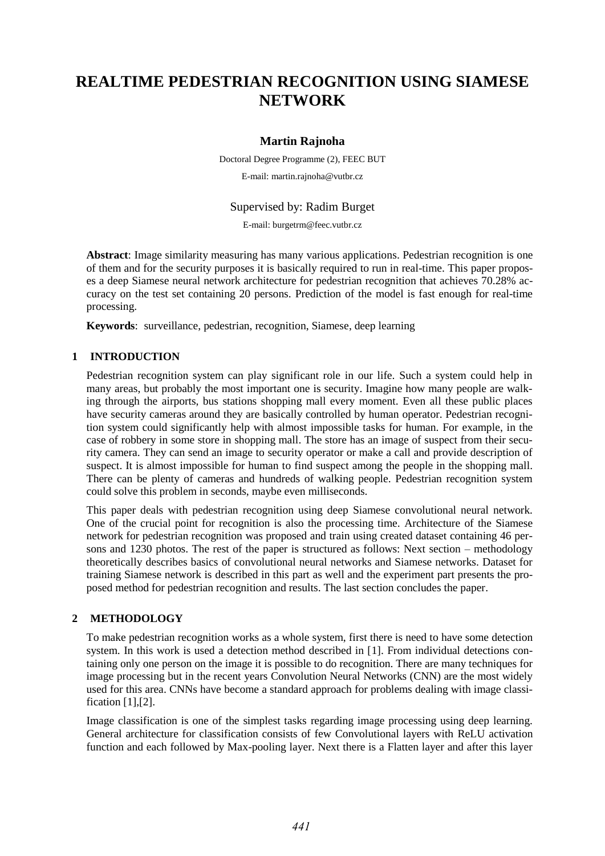# **REALTIME PEDESTRIAN RECOGNITION USING SIAMESE NETWORK**

# **Martin Rajnoha**

Doctoral Degree Programme (2), FEEC BUT E-mail: martin.rajnoha@vutbr.cz

Supervised by: Radim Burget

E-mail: burgetrm@feec.vutbr.cz

**Abstract**: Image similarity measuring has many various applications. Pedestrian recognition is one of them and for the security purposes it is basically required to run in real-time. This paper proposes a deep Siamese neural network architecture for pedestrian recognition that achieves 70.28% accuracy on the test set containing 20 persons. Prediction of the model is fast enough for real-time processing.

**Keywords**: surveillance, pedestrian, recognition, Siamese, deep learning

## **1 INTRODUCTION**

Pedestrian recognition system can play significant role in our life. Such a system could help in many areas, but probably the most important one is security. Imagine how many people are walking through the airports, bus stations shopping mall every moment. Even all these public places have security cameras around they are basically controlled by human operator. Pedestrian recognition system could significantly help with almost impossible tasks for human. For example, in the case of robbery in some store in shopping mall. The store has an image of suspect from their security camera. They can send an image to security operator or make a call and provide description of suspect. It is almost impossible for human to find suspect among the people in the shopping mall. There can be plenty of cameras and hundreds of walking people. Pedestrian recognition system could solve this problem in seconds, maybe even milliseconds.

This paper deals with pedestrian recognition using deep Siamese convolutional neural network. One of the crucial point for recognition is also the processing time. Architecture of the Siamese network for pedestrian recognition was proposed and train using created dataset containing 46 persons and 1230 photos. The rest of the paper is structured as follows: Next section – methodology theoretically describes basics of convolutional neural networks and Siamese networks. Dataset for training Siamese network is described in this part as well and the experiment part presents the proposed method for pedestrian recognition and results. The last section concludes the paper.

## **2 METHODOLOGY**

To make pedestrian recognition works as a whole system, first there is need to have some detection system. In this work is used a detection method described in [1]. From individual detections containing only one person on the image it is possible to do recognition. There are many techniques for image processing but in the recent years Convolution Neural Networks (CNN) are the most widely used for this area. CNNs have become a standard approach for problems dealing with image classification [1],[2].

Image classification is one of the simplest tasks regarding image processing using deep learning. General architecture for classification consists of few Convolutional layers with ReLU activation function and each followed by Max-pooling layer. Next there is a Flatten layer and after this layer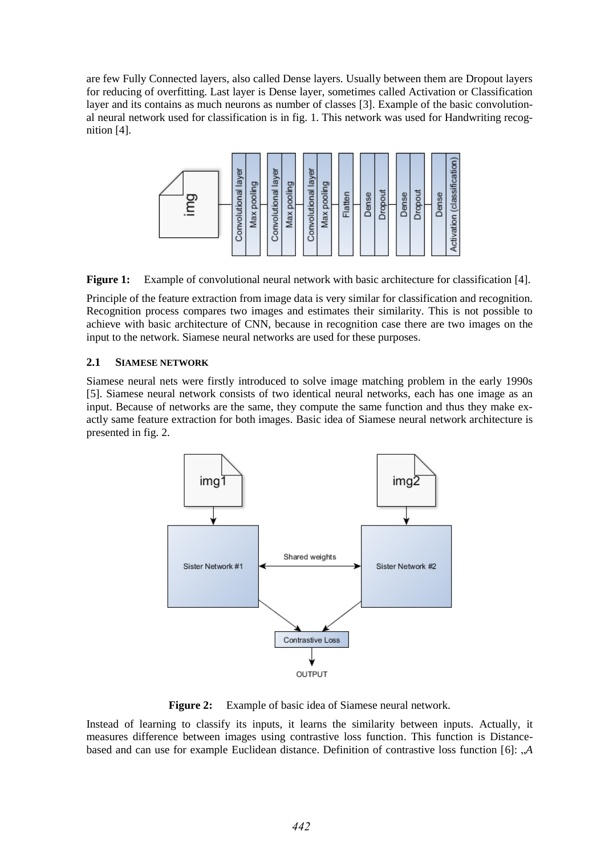are few Fully Connected layers, also called Dense layers. Usually between them are Dropout layers for reducing of overfitting. Last layer is Dense layer, sometimes called Activation or Classification layer and its contains as much neurons as number of classes [3]. Example of the basic convolutional neural network used for classification is in fig. 1. This network was used for Handwriting recognition [4].



**Figure 1:** Example of convolutional neural network with basic architecture for classification [4].

Principle of the feature extraction from image data is very similar for classification and recognition. Recognition process compares two images and estimates their similarity. This is not possible to achieve with basic architecture of CNN, because in recognition case there are two images on the input to the network. Siamese neural networks are used for these purposes.

# **2.1 SIAMESE NETWORK**

Siamese neural nets were firstly introduced to solve image matching problem in the early 1990s [5]. Siamese neural network consists of two identical neural networks, each has one image as an input. Because of networks are the same, they compute the same function and thus they make exactly same feature extraction for both images. Basic idea of Siamese neural network architecture is presented in fig. 2.



**Figure 2:** Example of basic idea of Siamese neural network.

Instead of learning to classify its inputs, it learns the similarity between inputs. Actually, it measures difference between images using contrastive loss function. This function is Distancebased and can use for example Euclidean distance. Definition of contrastive loss function [6]: "<sup>A</sup>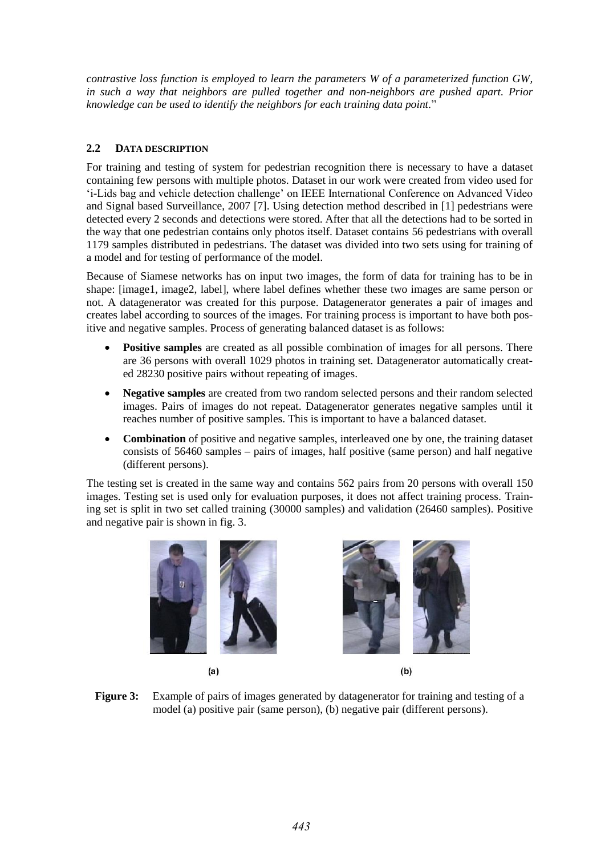*contrastive loss function is employed to learn the parameters W of a parameterized function GW, in such a way that neighbors are pulled together and non-neighbors are pushed apart. Prior knowledge can be used to identify the neighbors for each training data point.*"

# **2.2 DATA DESCRIPTION**

For training and testing of system for pedestrian recognition there is necessary to have a dataset containing few persons with multiple photos. Dataset in our work were created from video used for 'i-Lids bag and vehicle detection challenge' on IEEE International Conference on Advanced Video and Signal based Surveillance, 2007 [7]. Using detection method described in [1] pedestrians were detected every 2 seconds and detections were stored. After that all the detections had to be sorted in the way that one pedestrian contains only photos itself. Dataset contains 56 pedestrians with overall 1179 samples distributed in pedestrians. The dataset was divided into two sets using for training of a model and for testing of performance of the model.

Because of Siamese networks has on input two images, the form of data for training has to be in shape: [image1, image2, label], where label defines whether these two images are same person or not. A datagenerator was created for this purpose. Datagenerator generates a pair of images and creates label according to sources of the images. For training process is important to have both positive and negative samples. Process of generating balanced dataset is as follows:

- Positive samples are created as all possible combination of images for all persons. There are 36 persons with overall 1029 photos in training set. Datagenerator automatically created 28230 positive pairs without repeating of images.
- **Negative samples** are created from two random selected persons and their random selected images. Pairs of images do not repeat. Datagenerator generates negative samples until it reaches number of positive samples. This is important to have a balanced dataset.
- **Combination** of positive and negative samples, interleaved one by one, the training dataset consists of 56460 samples – pairs of images, half positive (same person) and half negative (different persons).

The testing set is created in the same way and contains 562 pairs from 20 persons with overall 150 images. Testing set is used only for evaluation purposes, it does not affect training process. Training set is split in two set called training (30000 samples) and validation (26460 samples). Positive and negative pair is shown in fig. 3.







 $(b)$ 

**Figure 3:** Example of pairs of images generated by datagenerator for training and testing of a model (a) positive pair (same person), (b) negative pair (different persons).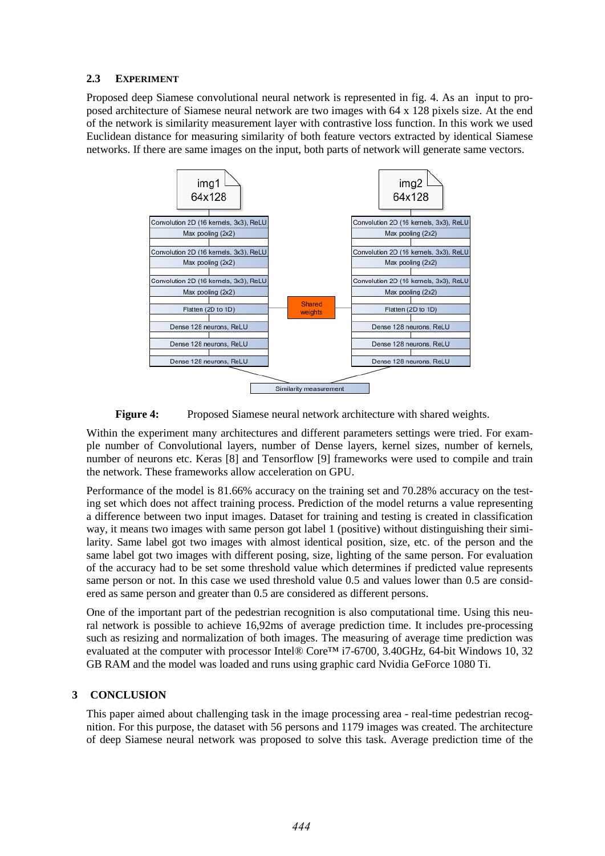## **2.3 EXPERIMENT**

Proposed deep Siamese convolutional neural network is represented in fig. 4. As an input to proposed architecture of Siamese neural network are two images with 64 x 128 pixels size. At the end of the network is similarity measurement layer with contrastive loss function. In this work we used Euclidean distance for measuring similarity of both feature vectors extracted by identical Siamese networks. If there are same images on the input, both parts of network will generate same vectors.



**Figure 4:** Proposed Siamese neural network architecture with shared weights.

Within the experiment many architectures and different parameters settings were tried. For example number of Convolutional layers, number of Dense layers, kernel sizes, number of kernels, number of neurons etc. Keras [8] and Tensorflow [9] frameworks were used to compile and train the network. These frameworks allow acceleration on GPU.

Performance of the model is 81.66% accuracy on the training set and 70.28% accuracy on the testing set which does not affect training process. Prediction of the model returns a value representing a difference between two input images. Dataset for training and testing is created in classification way, it means two images with same person got label 1 (positive) without distinguishing their similarity. Same label got two images with almost identical position, size, etc. of the person and the same label got two images with different posing, size, lighting of the same person. For evaluation of the accuracy had to be set some threshold value which determines if predicted value represents same person or not. In this case we used threshold value 0.5 and values lower than 0.5 are considered as same person and greater than 0.5 are considered as different persons.

One of the important part of the pedestrian recognition is also computational time. Using this neural network is possible to achieve 16,92ms of average prediction time. It includes pre-processing such as resizing and normalization of both images. The measuring of average time prediction was evaluated at the computer with processor Intel® Core™ i7-6700, 3.40GHz, 64-bit Windows 10, 32 GB RAM and the model was loaded and runs using graphic card Nvidia GeForce 1080 Ti.

# **3 CONCLUSION**

This paper aimed about challenging task in the image processing area - real-time pedestrian recognition. For this purpose, the dataset with 56 persons and 1179 images was created. The architecture of deep Siamese neural network was proposed to solve this task. Average prediction time of the